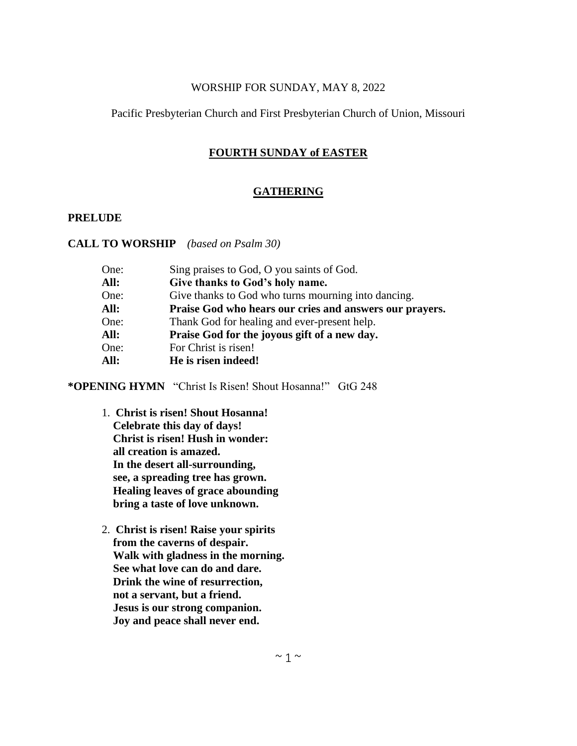### WORSHIP FOR SUNDAY, MAY 8, 2022

### Pacific Presbyterian Church and First Presbyterian Church of Union, Missouri

## **FOURTH SUNDAY of EASTER**

## **GATHERING**

## **PRELUDE**

**CALL TO WORSHIP** *(based on Psalm 30)*

| Sing praises to God, O you saints of God.               |
|---------------------------------------------------------|
| Give thanks to God's holy name.                         |
| Give thanks to God who turns mourning into dancing.     |
| Praise God who hears our cries and answers our prayers. |
| Thank God for healing and ever-present help.            |
| Praise God for the joyous gift of a new day.            |
| For Christ is risen!                                    |
| He is risen indeed!                                     |
|                                                         |

**\*OPENING HYMN** "Christ Is Risen! Shout Hosanna!" GtG 248

- 1. **Christ is risen! Shout Hosanna! Celebrate this day of days! Christ is risen! Hush in wonder: all creation is amazed. In the desert all-surrounding, see, a spreading tree has grown. Healing leaves of grace abounding bring a taste of love unknown.**
- 2. **Christ is risen! Raise your spirits from the caverns of despair. Walk with gladness in the morning. See what love can do and dare. Drink the wine of resurrection, not a servant, but a friend. Jesus is our strong companion. Joy and peace shall never end.**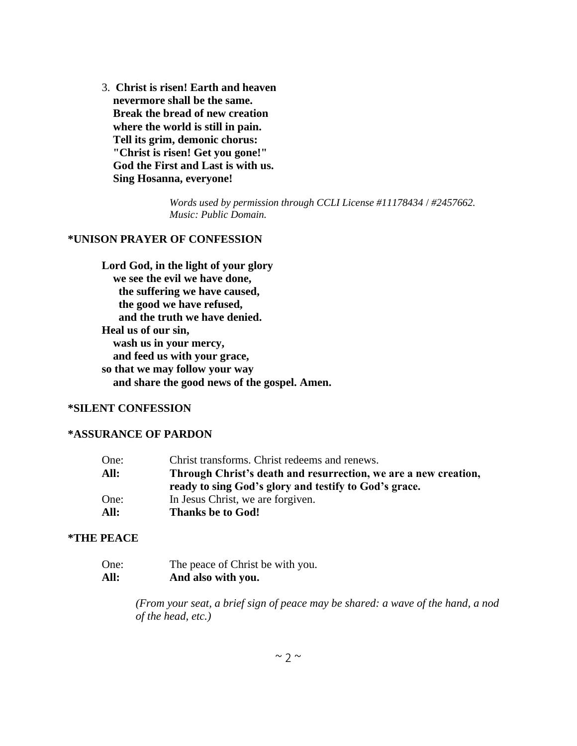3. **Christ is risen! Earth and heaven nevermore shall be the same. Break the bread of new creation where the world is still in pain. Tell its grim, demonic chorus: "Christ is risen! Get you gone!" God the First and Last is with us. Sing Hosanna, everyone!**

> *Words used by permission through CCLI License #11178434* / *#2457662. Music: Public Domain.*

## **\*UNISON PRAYER OF CONFESSION**

**Lord God, in the light of your glory we see the evil we have done, the suffering we have caused, the good we have refused, and the truth we have denied. Heal us of our sin, wash us in your mercy, and feed us with your grace, so that we may follow your way and share the good news of the gospel. Amen.**

### **\*SILENT CONFESSION**

# **\*ASSURANCE OF PARDON**

| One: | Christ transforms. Christ redeems and renews.                   |
|------|-----------------------------------------------------------------|
| All: | Through Christ's death and resurrection, we are a new creation, |
|      | ready to sing God's glory and testify to God's grace.           |
| One: | In Jesus Christ, we are forgiven.                               |
| All: | <b>Thanks be to God!</b>                                        |

### **\*THE PEACE**

| One: | The peace of Christ be with you. |
|------|----------------------------------|
| All: | And also with you.               |

*(From your seat, a brief sign of peace may be shared: a wave of the hand, a nod of the head, etc.)*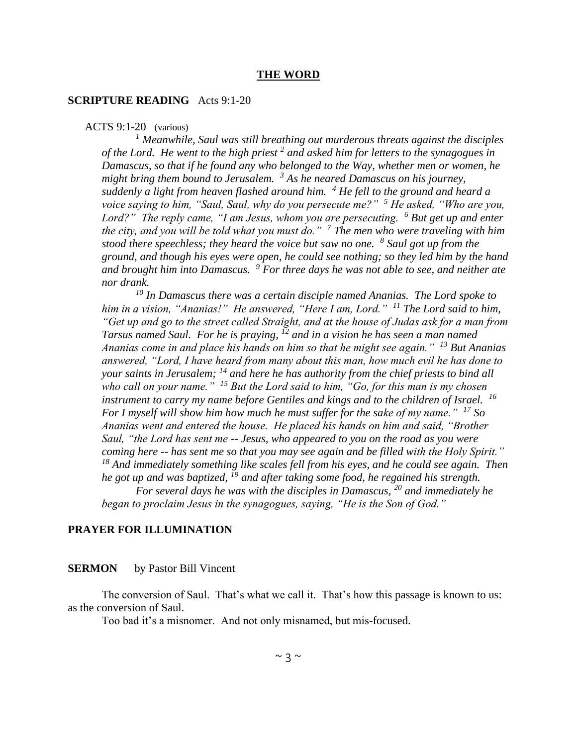#### **THE WORD**

### **SCRIPTURE READING** Acts 9:1-20

ACTS 9:1-20 (various)

*<sup>1</sup> Meanwhile, Saul was still breathing out murderous threats against the disciples of the Lord. He went to the high priest <sup>2</sup> and asked him for letters to the synagogues in Damascus, so that if he found any who belonged to the Way, whether men or women, he might bring them bound to Jerusalem. <sup>3</sup> As he neared Damascus on his journey, suddenly a light from heaven flashed around him. <sup>4</sup> He fell to the ground and heard a voice saying to him, "Saul, Saul, why do you persecute me?" <sup>5</sup> He asked, "Who are you, Lord?" The reply came, "I am Jesus, whom you are persecuting. <sup>6</sup> But get up and enter the city, and you will be told what you must do." <sup>7</sup> The men who were traveling with him stood there speechless; they heard the voice but saw no one. <sup>8</sup> Saul got up from the ground, and though his eyes were open, he could see nothing; so they led him by the hand and brought him into Damascus. <sup>9</sup> For three days he was not able to see, and neither ate nor drank.*

*<sup>10</sup> In Damascus there was a certain disciple named Ananias. The Lord spoke to him in a vision, "Ananias!" He answered, "Here I am, Lord." <sup>11</sup> The Lord said to him, "Get up and go to the street called Straight, and at the house of Judas ask for a man from Tarsus named Saul. For he is praying, <sup>12</sup> and in a vision he has seen a man named Ananias come in and place his hands on him so that he might see again." <sup>13</sup> But Ananias answered, "Lord, I have heard from many about this man, how much evil he has done to your saints in Jerusalem; <sup>14</sup> and here he has authority from the chief priests to bind all who call on your name." <sup>15</sup> But the Lord said to him, "Go, for this man is my chosen*  instrument to carry my name before Gentiles and kings and to the children of Israel. <sup>16</sup> *For I myself will show him how much he must suffer for the sake of my name." <sup>17</sup> So Ananias went and entered the house. He placed his hands on him and said, "Brother Saul, "the Lord has sent me -- Jesus, who appeared to you on the road as you were coming here -- has sent me so that you may see again and be filled with the Holy Spirit." <sup>18</sup> And immediately something like scales fell from his eyes, and he could see again. Then he got up and was baptized, <sup>19</sup> and after taking some food, he regained his strength.*

*For several days he was with the disciples in Damascus, <sup>20</sup> and immediately he began to proclaim Jesus in the synagogues, saying, "He is the Son of God."*

### **PRAYER FOR ILLUMINATION**

#### **SERMON** by Pastor Bill Vincent

The conversion of Saul. That's what we call it. That's how this passage is known to us: as the conversion of Saul.

Too bad it's a misnomer. And not only misnamed, but mis-focused.

 $\sim$  3  $\sim$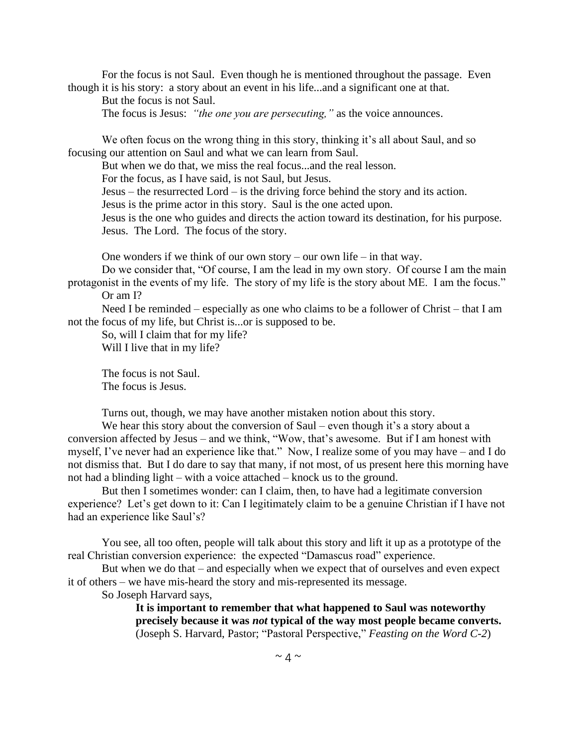For the focus is not Saul. Even though he is mentioned throughout the passage. Even though it is his story: a story about an event in his life...and a significant one at that.

But the focus is not Saul.

The focus is Jesus: *"the one you are persecuting,"* as the voice announces.

We often focus on the wrong thing in this story, thinking it's all about Saul, and so focusing our attention on Saul and what we can learn from Saul.

But when we do that, we miss the real focus...and the real lesson.

For the focus, as I have said, is not Saul, but Jesus.

Jesus – the resurrected Lord – is the driving force behind the story and its action.

Jesus is the prime actor in this story. Saul is the one acted upon.

Jesus is the one who guides and directs the action toward its destination, for his purpose. Jesus. The Lord. The focus of the story.

One wonders if we think of our own story – our own life – in that way.

Do we consider that, "Of course, I am the lead in my own story. Of course I am the main protagonist in the events of my life. The story of my life is the story about ME. I am the focus." Or am I?

Need I be reminded – especially as one who claims to be a follower of Christ – that I am not the focus of my life, but Christ is...or is supposed to be.

So, will I claim that for my life?

Will I live that in my life?

The focus is not Saul. The focus is Jesus.

Turns out, though, we may have another mistaken notion about this story.

We hear this story about the conversion of Saul – even though it's a story about a conversion affected by Jesus – and we think, "Wow, that's awesome. But if I am honest with myself, I've never had an experience like that." Now, I realize some of you may have – and I do not dismiss that. But I do dare to say that many, if not most, of us present here this morning have not had a blinding light – with a voice attached – knock us to the ground.

But then I sometimes wonder: can I claim, then, to have had a legitimate conversion experience? Let's get down to it: Can I legitimately claim to be a genuine Christian if I have not had an experience like Saul's?

You see, all too often, people will talk about this story and lift it up as a prototype of the real Christian conversion experience: the expected "Damascus road" experience.

But when we do that – and especially when we expect that of ourselves and even expect it of others – we have mis-heard the story and mis-represented its message.

So Joseph Harvard says,

**It is important to remember that what happened to Saul was noteworthy precisely because it was** *not* **typical of the way most people became converts.** (Joseph S. Harvard, Pastor; "Pastoral Perspective," *Feasting on the Word C-2*)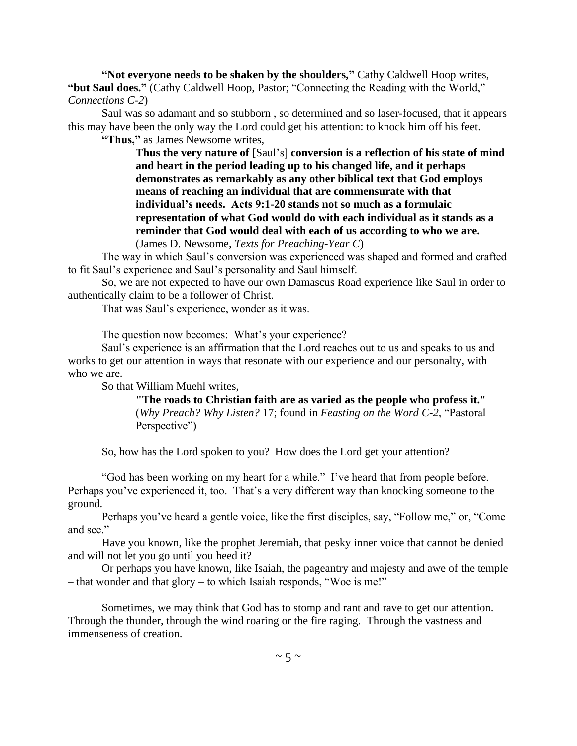**"Not everyone needs to be shaken by the shoulders,"** Cathy Caldwell Hoop writes, **"but Saul does."** (Cathy Caldwell Hoop, Pastor; "Connecting the Reading with the World," *Connections C-2*)

Saul was so adamant and so stubborn , so determined and so laser-focused, that it appears this may have been the only way the Lord could get his attention: to knock him off his feet. **"Thus,"** as James Newsome writes,

**Thus the very nature of** [Saul's] **conversion is a reflection of his state of mind and heart in the period leading up to his changed life, and it perhaps demonstrates as remarkably as any other biblical text that God employs means of reaching an individual that are commensurate with that individual's needs. Acts 9:1-20 stands not so much as a formulaic representation of what God would do with each individual as it stands as a reminder that God would deal with each of us according to who we are.** (James D. Newsome, *Texts for Preaching-Year C*)

The way in which Saul's conversion was experienced was shaped and formed and crafted to fit Saul's experience and Saul's personality and Saul himself.

So, we are not expected to have our own Damascus Road experience like Saul in order to authentically claim to be a follower of Christ.

That was Saul's experience, wonder as it was.

The question now becomes: What's your experience?

Saul's experience is an affirmation that the Lord reaches out to us and speaks to us and works to get our attention in ways that resonate with our experience and our personalty, with who we are.

So that William Muehl writes,

**"The roads to Christian faith are as varied as the people who profess it."** (*Why Preach? Why Listen?* 17; found in *Feasting on the Word C-2*, "Pastoral Perspective")

So, how has the Lord spoken to you? How does the Lord get your attention?

"God has been working on my heart for a while." I've heard that from people before. Perhaps you've experienced it, too. That's a very different way than knocking someone to the ground.

Perhaps you've heard a gentle voice, like the first disciples, say, "Follow me," or, "Come and see."

Have you known, like the prophet Jeremiah, that pesky inner voice that cannot be denied and will not let you go until you heed it?

Or perhaps you have known, like Isaiah, the pageantry and majesty and awe of the temple – that wonder and that glory – to which Isaiah responds, "Woe is me!"

Sometimes, we may think that God has to stomp and rant and rave to get our attention. Through the thunder, through the wind roaring or the fire raging. Through the vastness and immenseness of creation.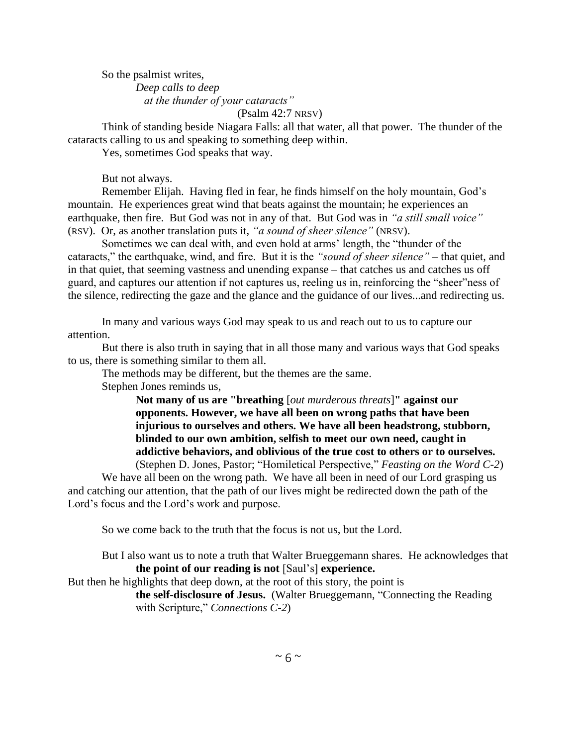So the psalmist writes, *Deep calls to deep at the thunder of your cataracts"* (Psalm 42:7 NRSV)

Think of standing beside Niagara Falls: all that water, all that power. The thunder of the cataracts calling to us and speaking to something deep within.

Yes, sometimes God speaks that way.

But not always.

Remember Elijah. Having fled in fear, he finds himself on the holy mountain, God's mountain. He experiences great wind that beats against the mountain; he experiences an earthquake, then fire. But God was not in any of that. But God was in *"a still small voice"* (RSV). Or, as another translation puts it, *"a sound of sheer silence"* (NRSV).

Sometimes we can deal with, and even hold at arms' length, the "thunder of the cataracts," the earthquake, wind, and fire. But it is the *"sound of sheer silence"* – that quiet, and in that quiet, that seeming vastness and unending expanse – that catches us and catches us off guard, and captures our attention if not captures us, reeling us in, reinforcing the "sheer"ness of the silence, redirecting the gaze and the glance and the guidance of our lives...and redirecting us.

In many and various ways God may speak to us and reach out to us to capture our attention.

But there is also truth in saying that in all those many and various ways that God speaks to us, there is something similar to them all.

The methods may be different, but the themes are the same.

Stephen Jones reminds us,

**Not many of us are "breathing** [*out murderous threats*]**" against our opponents. However, we have all been on wrong paths that have been injurious to ourselves and others. We have all been headstrong, stubborn, blinded to our own ambition, selfish to meet our own need, caught in addictive behaviors, and oblivious of the true cost to others or to ourselves.** (Stephen D. Jones, Pastor; "Homiletical Perspective," *Feasting on the Word C-2*)

We have all been on the wrong path. We have all been in need of our Lord grasping us and catching our attention, that the path of our lives might be redirected down the path of the Lord's focus and the Lord's work and purpose.

So we come back to the truth that the focus is not us, but the Lord.

## But I also want us to note a truth that Walter Brueggemann shares. He acknowledges that **the point of our reading is not** [Saul's] **experience.**

But then he highlights that deep down, at the root of this story, the point is

**the self-disclosure of Jesus.** (Walter Brueggemann, "Connecting the Reading with Scripture," *Connections C-2*)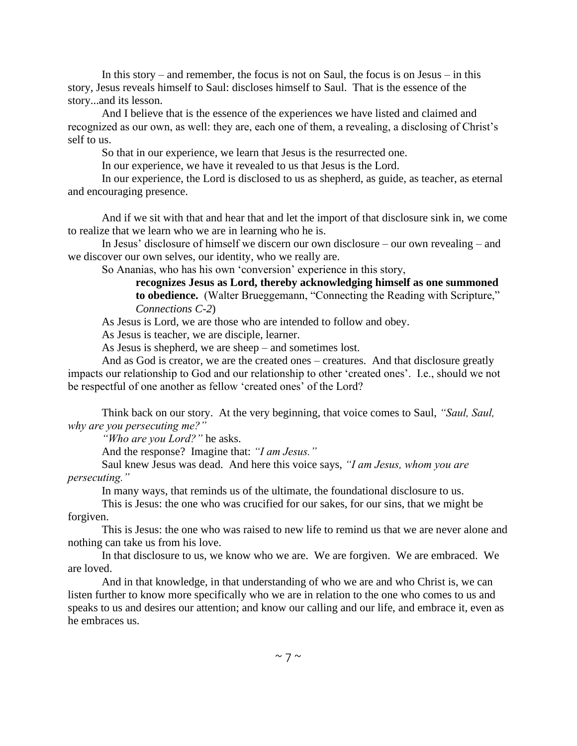In this story – and remember, the focus is not on Saul, the focus is on Jesus – in this story, Jesus reveals himself to Saul: discloses himself to Saul. That is the essence of the story...and its lesson.

And I believe that is the essence of the experiences we have listed and claimed and recognized as our own, as well: they are, each one of them, a revealing, a disclosing of Christ's self to us.

So that in our experience, we learn that Jesus is the resurrected one.

In our experience, we have it revealed to us that Jesus is the Lord.

In our experience, the Lord is disclosed to us as shepherd, as guide, as teacher, as eternal and encouraging presence.

And if we sit with that and hear that and let the import of that disclosure sink in, we come to realize that we learn who we are in learning who he is.

In Jesus' disclosure of himself we discern our own disclosure – our own revealing – and we discover our own selves, our identity, who we really are.

So Ananias, who has his own 'conversion' experience in this story,

**recognizes Jesus as Lord, thereby acknowledging himself as one summoned to obedience.** (Walter Brueggemann, "Connecting the Reading with Scripture," *Connections C-2*)

As Jesus is Lord, we are those who are intended to follow and obey.

As Jesus is teacher, we are disciple, learner.

As Jesus is shepherd, we are sheep – and sometimes lost.

And as God is creator, we are the created ones – creatures. And that disclosure greatly impacts our relationship to God and our relationship to other 'created ones'. I.e., should we not be respectful of one another as fellow 'created ones' of the Lord?

Think back on our story. At the very beginning, that voice comes to Saul, *"Saul, Saul, why are you persecuting me?"*

*"Who are you Lord?"* he asks.

And the response? Imagine that: *"I am Jesus."*

Saul knew Jesus was dead. And here this voice says, *"I am Jesus, whom you are persecuting."*

In many ways, that reminds us of the ultimate, the foundational disclosure to us.

This is Jesus: the one who was crucified for our sakes, for our sins, that we might be forgiven.

This is Jesus: the one who was raised to new life to remind us that we are never alone and nothing can take us from his love.

In that disclosure to us, we know who we are. We are forgiven. We are embraced. We are loved.

And in that knowledge, in that understanding of who we are and who Christ is, we can listen further to know more specifically who we are in relation to the one who comes to us and speaks to us and desires our attention; and know our calling and our life, and embrace it, even as he embraces us.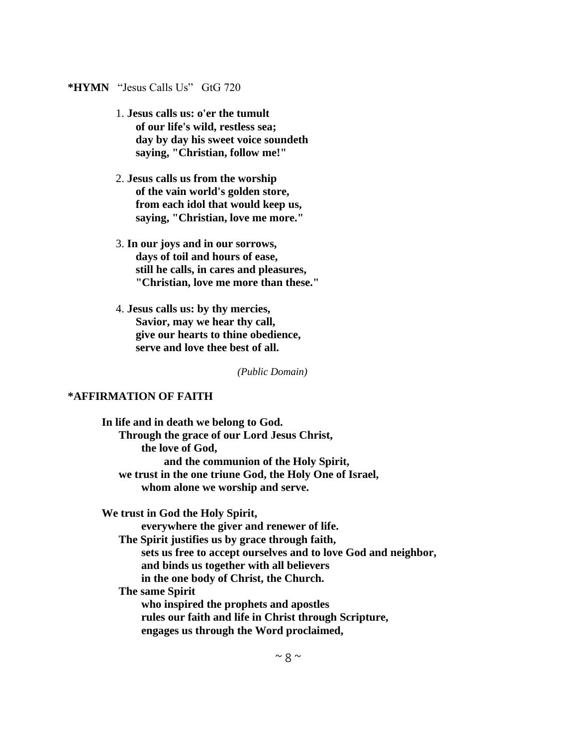### **\*HYMN** "Jesus Calls Us" GtG 720

- 1. **Jesus calls us: o'er the tumult of our life's wild, restless sea; day by day his sweet voice soundeth saying, "Christian, follow me!"**
- 2. **Jesus calls us from the worship of the vain world's golden store, from each idol that would keep us, saying, "Christian, love me more."**
- 3. **In our joys and in our sorrows, days of toil and hours of ease, still he calls, in cares and pleasures, "Christian, love me more than these."**
- 4. **Jesus calls us: by thy mercies, Savior, may we hear thy call, give our hearts to thine obedience, serve and love thee best of all.**

*(Public Domain)*

### **\*AFFIRMATION OF FAITH**

**In life and in death we belong to God. Through the grace of our Lord Jesus Christ, the love of God, and the communion of the Holy Spirit, we trust in the one triune God, the Holy One of Israel, whom alone we worship and serve.**

**We trust in God the Holy Spirit, everywhere the giver and renewer of life. The Spirit justifies us by grace through faith, sets us free to accept ourselves and to love God and neighbor, and binds us together with all believers in the one body of Christ, the Church. The same Spirit who inspired the prophets and apostles rules our faith and life in Christ through Scripture, engages us through the Word proclaimed,**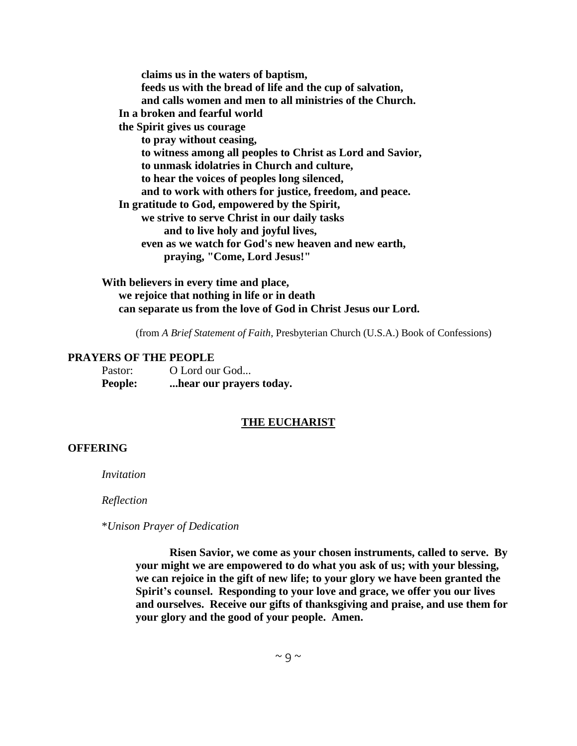**claims us in the waters of baptism, feeds us with the bread of life and the cup of salvation, and calls women and men to all ministries of the Church. In a broken and fearful world the Spirit gives us courage to pray without ceasing, to witness among all peoples to Christ as Lord and Savior, to unmask idolatries in Church and culture, to hear the voices of peoples long silenced, and to work with others for justice, freedom, and peace. In gratitude to God, empowered by the Spirit, we strive to serve Christ in our daily tasks and to live holy and joyful lives, even as we watch for God's new heaven and new earth, praying, "Come, Lord Jesus!"**

**With believers in every time and place, we rejoice that nothing in life or in death can separate us from the love of God in Christ Jesus our Lord.**

(from *A Brief Statement of Faith*, Presbyterian Church (U.S.A.) Book of Confessions)

### **PRAYERS OF THE PEOPLE**

| <b>People:</b> | hear our prayers today. |
|----------------|-------------------------|
| Pastor:        | O Lord our God          |

#### **THE EUCHARIST**

#### **OFFERING**

*Invitation*

*Reflection*

\**Unison Prayer of Dedication*

**Risen Savior, we come as your chosen instruments, called to serve. By your might we are empowered to do what you ask of us; with your blessing, we can rejoice in the gift of new life; to your glory we have been granted the Spirit's counsel. Responding to your love and grace, we offer you our lives and ourselves. Receive our gifts of thanksgiving and praise, and use them for your glory and the good of your people. Amen.**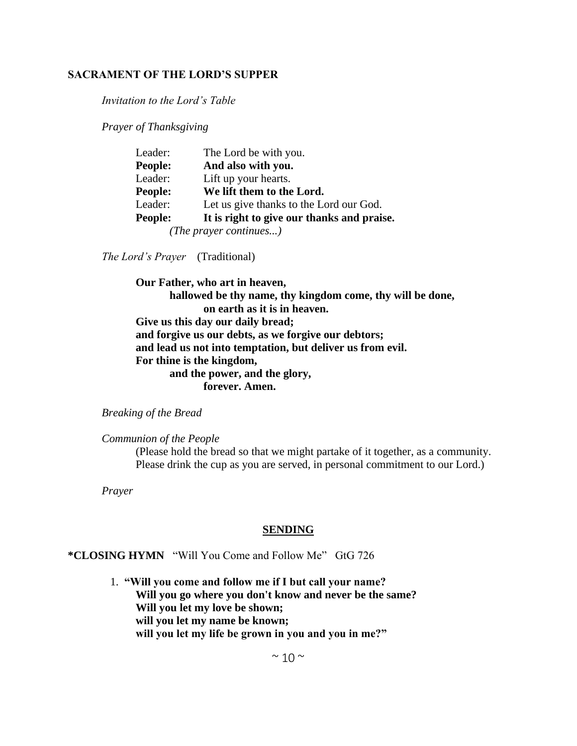### **SACRAMENT OF THE LORD'S SUPPER**

*Invitation to the Lord's Table*

*Prayer of Thanksgiving*

| Leader:                | The Lord be with you.                      |  |
|------------------------|--------------------------------------------|--|
| People:                | And also with you.                         |  |
| Leader:                | Lift up your hearts.                       |  |
| People:                | We lift them to the Lord.                  |  |
| Leader:                | Let us give thanks to the Lord our God.    |  |
| People:                | It is right to give our thanks and praise. |  |
| (The prayer continues) |                                            |  |

*The Lord's Prayer* (Traditional)

**Our Father, who art in heaven, hallowed be thy name, thy kingdom come, thy will be done, on earth as it is in heaven. Give us this day our daily bread; and forgive us our debts, as we forgive our debtors; and lead us not into temptation, but deliver us from evil. For thine is the kingdom, and the power, and the glory, forever. Amen.**

*Breaking of the Bread*

*Communion of the People*

(Please hold the bread so that we might partake of it together, as a community. Please drink the cup as you are served, in personal commitment to our Lord.)

*Prayer*

#### **SENDING**

### **\*CLOSING HYMN** "Will You Come and Follow Me" GtG 726

 1. **"Will you come and follow me if I but call your name? Will you go where you don't know and never be the same? Will you let my love be shown; will you let my name be known; will you let my life be grown in you and you in me?"**

 $~\sim$  10  $~\sim$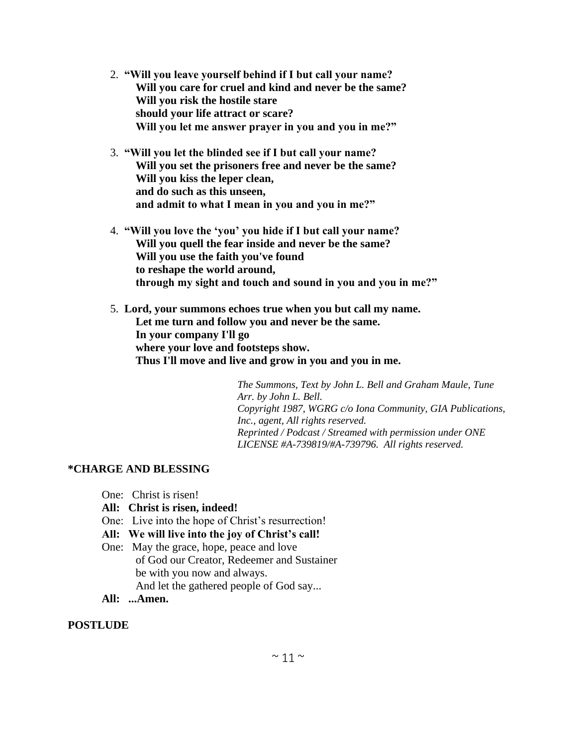- 2. **"Will you leave yourself behind if I but call your name? Will you care for cruel and kind and never be the same? Will you risk the hostile stare should your life attract or scare? Will you let me answer prayer in you and you in me?"**
- 3. **"Will you let the blinded see if I but call your name? Will you set the prisoners free and never be the same? Will you kiss the leper clean, and do such as this unseen, and admit to what I mean in you and you in me?"**
- 4. **"Will you love the 'you' you hide if I but call your name? Will you quell the fear inside and never be the same? Will you use the faith you've found to reshape the world around, through my sight and touch and sound in you and you in me?"**
- 5. **Lord, your summons echoes true when you but call my name. Let me turn and follow you and never be the same. In your company I'll go where your love and footsteps show. Thus I'll move and live and grow in you and you in me.**

*The Summons, Text by John L. Bell and Graham Maule, Tune Arr. by John L. Bell. Copyright 1987, WGRG c/o Iona Community, GIA Publications, Inc., agent, All rights reserved. Reprinted / Podcast / Streamed with permission under ONE LICENSE #A-739819/#A-739796. All rights reserved.*

# **\*CHARGE AND BLESSING**

- One: Christ is risen!
- **All: Christ is risen, indeed!**
- One: Live into the hope of Christ's resurrection!
- **All: We will live into the joy of Christ's call!**
- One: May the grace, hope, peace and love of God our Creator, Redeemer and Sustainer be with you now and always. And let the gathered people of God say...
- **All: ...Amen.**

# **POSTLUDE**